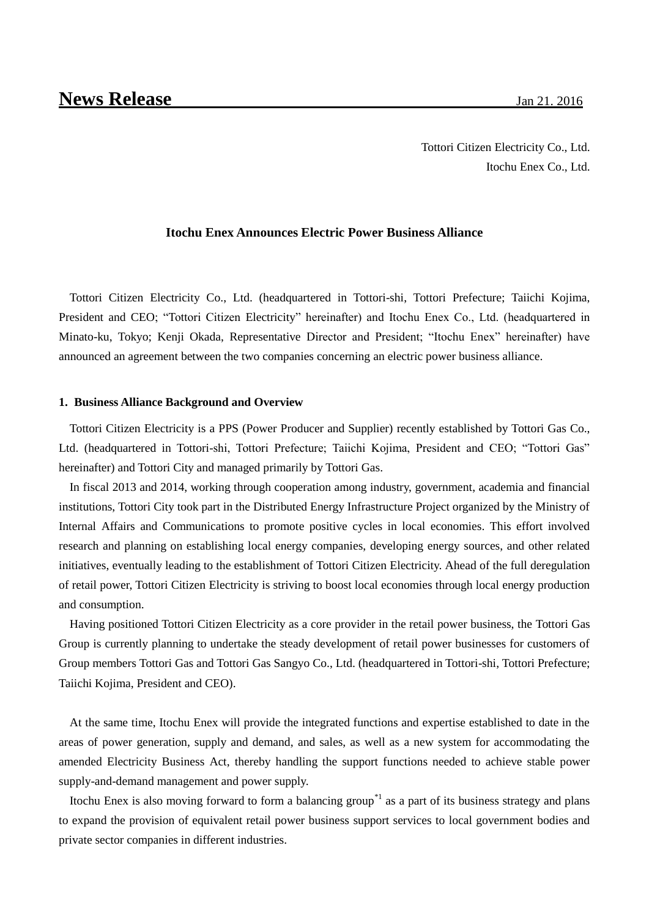Tottori Citizen Electricity Co., Ltd. Itochu Enex Co., Ltd.

### **Itochu Enex Announces Electric Power Business Alliance**

Tottori Citizen Electricity Co., Ltd. (headquartered in Tottori-shi, Tottori Prefecture; Taiichi Kojima, President and CEO; "Tottori Citizen Electricity" hereinafter) and Itochu Enex Co., Ltd. (headquartered in Minato-ku, Tokyo; Kenji Okada, Representative Director and President; "Itochu Enex" hereinafter) have announced an agreement between the two companies concerning an electric power business alliance.

#### **1. Business Alliance Background and Overview**

Tottori Citizen Electricity is a PPS (Power Producer and Supplier) recently established by Tottori Gas Co., Ltd. (headquartered in Tottori-shi, Tottori Prefecture; Taiichi Kojima, President and CEO; "Tottori Gas" hereinafter) and Tottori City and managed primarily by Tottori Gas.

In fiscal 2013 and 2014, working through cooperation among industry, government, academia and financial institutions, Tottori City took part in the Distributed Energy Infrastructure Project organized by the Ministry of Internal Affairs and Communications to promote positive cycles in local economies. This effort involved research and planning on establishing local energy companies, developing energy sources, and other related initiatives, eventually leading to the establishment of Tottori Citizen Electricity. Ahead of the full deregulation of retail power, Tottori Citizen Electricity is striving to boost local economies through local energy production and consumption.

Having positioned Tottori Citizen Electricity as a core provider in the retail power business, the Tottori Gas Group is currently planning to undertake the steady development of retail power businesses for customers of Group members Tottori Gas and Tottori Gas Sangyo Co., Ltd. (headquartered in Tottori-shi, Tottori Prefecture; Taiichi Kojima, President and CEO).

At the same time, Itochu Enex will provide the integrated functions and expertise established to date in the areas of power generation, supply and demand, and sales, as well as a new system for accommodating the amended Electricity Business Act, thereby handling the support functions needed to achieve stable power supply-and-demand management and power supply.

Itochu Enex is also moving forward to form a balancing group<sup> $*1$ </sup> as a part of its business strategy and plans to expand the provision of equivalent retail power business support services to local government bodies and private sector companies in different industries.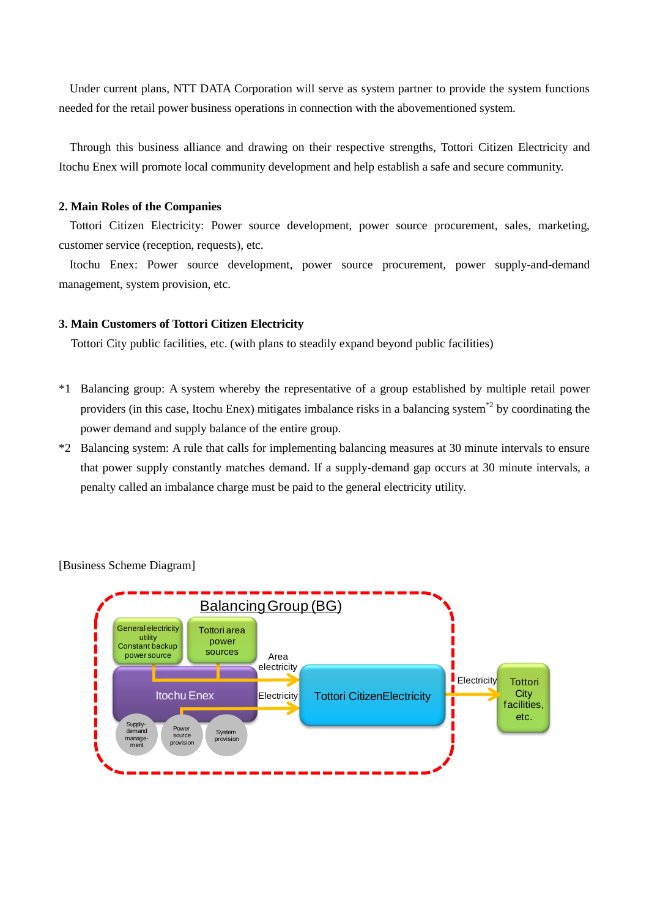Under current plans, NTT DATA Corporation will serve as system partner to provide the system functions needed for the retail power business operations in connection with the abovementioned system.

Through this business alliance and drawing on their respective strengths, Tottori Citizen Electricity and Itochu Enex will promote local community development and help establish a safe and secure community.

## **2. Main Roles of the Companies**

Tottori Citizen Electricity: Power source development, power source procurement, sales, marketing, customer service (reception, requests), etc.

Itochu Enex: Power source development, power source procurement, power supply-and-demand management, system provision, etc.

### **3. Main Customers of Tottori Citizen Electricity**

Tottori City public facilities, etc. (with plans to steadily expand beyond public facilities)

- \*1 Balancing group: A system whereby the representative of a group established by multiple retail power providers (in this case, Itochu Enex) mitigates imbalance risks in a balancing system<sup>\*2</sup> by coordinating the power demand and supply balance of the entire group.
- \*2 Balancing system: A rule that calls for implementing balancing measures at 30 minute intervals to ensure that power supply constantly matches demand. If a supply-demand gap occurs at 30 minute intervals, a penalty called an imbalance charge must be paid to the general electricity utility.



[Business Scheme Diagram]